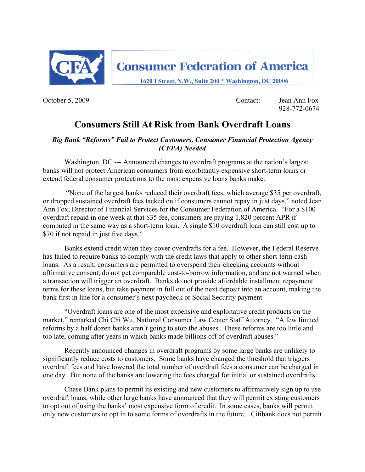

October 5, 2009 Contact: Jean Ann Fox 928-772-0674

# **Consumers Still At Risk from Bank Overdraft Loans**

### *Big Bank "Reforms" Fail to Protect Customers, Consumer Financial Protection Agency (CFPA) Needed*

Washington, DC --- Announced changes to overdraft programs at the nation's largest banks will not protect American consumers from exorbitantly expensive short-term loans or extend federal consumer protections to the most expensive loans banks make.

 "None of the largest banks reduced their overdraft fees, which average \$35 per overdraft, or dropped sustained overdraft fees tacked on if consumers cannot repay in just days," noted Jean Ann Fox, Director of Financial Services for the Consumer Federation of America. "For a \$100 overdraft repaid in one week at that \$35 fee, consumers are paying 1,820 percent APR if computed in the same way as a short-term loan. A single \$10 overdraft loan can still cost up to \$70 if not repaid in just five days."

Banks extend credit when they cover overdrafts for a fee. However, the Federal Reserve has failed to require banks to comply with the credit laws that apply to other short-term cash loans. As a result, consumers are permitted to overspend their checking accounts without affirmative consent, do not get comparable cost-to-borrow information, and are not warned when a transaction will trigger an overdraft. Banks do not provide affordable installment repayment terms for these loans, but take payment in full out of the next deposit into an account, making the bank first in line for a consumer's next paycheck or Social Security payment.

"Overdraft loans are one of the most expensive and exploitative credit products on the market," remarked Chi Chi Wu, National Consumer Law Center Staff Attorney. "A few limited reforms by a half dozen banks aren't going to stop the abuses. These reforms are too little and too late, coming after years in which banks made billions off of overdraft abuses."

Recently announced changes in overdraft programs by some large banks are unlikely to significantly reduce costs to customers. Some banks have changed the threshold that triggers overdraft fees and have lowered the total number of overdraft fees a consumer can be charged in one day. But none of the banks are lowering the fees charged for initial or sustained overdrafts.

Chase Bank plans to permit its existing and new customers to affirmatively sign up to use overdraft loans, while other large banks have announced that they will permit existing customers to opt out of using the banks' most expensive form of credit. In some cases, banks will permit only new customers to opt in to some forms of overdrafts in the future. Citibank does not permit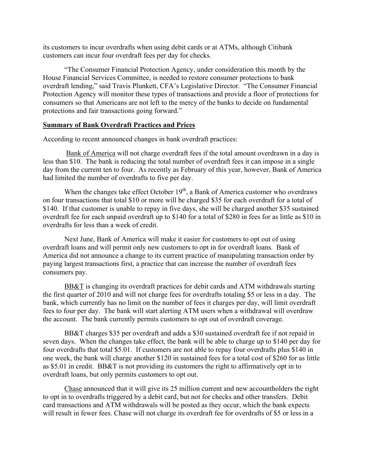its customers to incur overdrafts when using debit cards or at ATMs, although Citibank customers can incur four overdraft fees per day for checks.

"The Consumer Financial Protection Agency, under consideration this month by the House Financial Services Committee, is needed to restore consumer protections to bank overdraft lending," said Travis Plunkett, CFA's Legislative Director. "The Consumer Financial Protection Agency will monitor these types of transactions and provide a floor of protections for consumers so that Americans are not left to the mercy of the banks to decide on fundamental protections and fair transactions going forward."

#### **Summary of Bank Overdraft Practices and Prices**

According to recent announced changes in bank overdraft practices:

 Bank of America will not charge overdraft fees if the total amount overdrawn in a day is less than \$10. The bank is reducing the total number of overdraft fees it can impose in a single day from the current ten to four. As recently as February of this year, however, Bank of America had limited the number of overdrafts to five per day.

When the changes take effect October  $19<sup>th</sup>$ , a Bank of America customer who overdraws on four transactions that total \$10 or more will be charged \$35 for each overdraft for a total of \$140. If that customer is unable to repay in five days, she will be charged another \$35 sustained overdraft fee for each unpaid overdraft up to \$140 for a total of \$280 in fees for as little as \$10 in overdrafts for less than a week of credit.

Next June, Bank of America will make it easier for customers to opt out of using overdraft loans and will permit only new customers to opt in for overdraft loans. Bank of America did not announce a change to its current practice of manipulating transaction order by paying largest transactions first, a practice that can increase the number of overdraft fees consumers pay.

BB&T is changing its overdraft practices for debit cards and ATM withdrawals starting the first quarter of 2010 and will not charge fees for overdrafts totaling \$5 or less in a day. The bank, which currently has no limit on the number of fees it charges per day, will limit overdraft fees to four per day. The bank will start alerting ATM users when a withdrawal will overdraw the account. The bank currently permits customers to opt out of overdraft coverage.

BB&T charges \$35 per overdraft and adds a \$30 sustained overdraft fee if not repaid in seven days. When the changes take effect, the bank will be able to charge up to \$140 per day for four overdrafts that total \$5.01. If customers are not able to repay four overdrafts plus \$140 in one week, the bank will charge another \$120 in sustained fees for a total cost of \$260 for as little as \$5.01 in credit. BB&T is not providing its customers the right to affirmatively opt in to overdraft loans, but only permits customers to opt out.

Chase announced that it will give its 25 million current and new accountholders the right to opt in to overdrafts triggered by a debit card, but not for checks and other transfers. Debit card transactions and ATM withdrawals will be posted as they occur, which the bank expects will result in fewer fees. Chase will not charge its overdraft fee for overdrafts of \$5 or less in a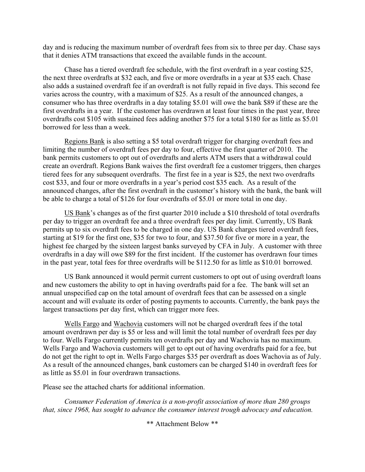day and is reducing the maximum number of overdraft fees from six to three per day. Chase says that it denies ATM transactions that exceed the available funds in the account.

Chase has a tiered overdraft fee schedule, with the first overdraft in a year costing \$25, the next three overdrafts at \$32 each, and five or more overdrafts in a year at \$35 each. Chase also adds a sustained overdraft fee if an overdraft is not fully repaid in five days. This second fee varies across the country, with a maximum of \$25. As a result of the announced changes, a consumer who has three overdrafts in a day totaling \$5.01 will owe the bank \$89 if these are the first overdrafts in a year. If the customer has overdrawn at least four times in the past year, three overdrafts cost \$105 with sustained fees adding another \$75 for a total \$180 for as little as \$5.01 borrowed for less than a week.

Regions Bank is also setting a \$5 total overdraft trigger for charging overdraft fees and limiting the number of overdraft fees per day to four, effective the first quarter of 2010. The bank permits customers to opt out of overdrafts and alerts ATM users that a withdrawal could create an overdraft. Regions Bank waives the first overdraft fee a customer triggers, then charges tiered fees for any subsequent overdrafts. The first fee in a year is \$25, the next two overdrafts cost \$33, and four or more overdrafts in a year's period cost \$35 each. As a result of the announced changes, after the first overdraft in the customer's history with the bank, the bank will be able to charge a total of \$126 for four overdrafts of \$5.01 or more total in one day.

US Bank's changes as of the first quarter 2010 include a \$10 threshold of total overdrafts per day to trigger an overdraft fee and a three overdraft fees per day limit. Currently, US Bank permits up to six overdraft fees to be charged in one day. US Bank charges tiered overdraft fees, starting at \$19 for the first one, \$35 for two to four, and \$37.50 for five or more in a year, the highest fee charged by the sixteen largest banks surveyed by CFA in July. A customer with three overdrafts in a day will owe \$89 for the first incident. If the customer has overdrawn four times in the past year, total fees for three overdrafts will be \$112.50 for as little as \$10.01 borrowed.

US Bank announced it would permit current customers to opt out of using overdraft loans and new customers the ability to opt in having overdrafts paid for a fee. The bank will set an annual unspecified cap on the total amount of overdraft fees that can be assessed on a single account and will evaluate its order of posting payments to accounts. Currently, the bank pays the largest transactions per day first, which can trigger more fees.

Wells Fargo and Wachovia customers will not be charged overdraft fees if the total amount overdrawn per day is \$5 or less and will limit the total number of overdraft fees per day to four. Wells Fargo currently permits ten overdrafts per day and Wachovia has no maximum. Wells Fargo and Wachovia customers will get to opt out of having overdrafts paid for a fee, but do not get the right to opt in. Wells Fargo charges \$35 per overdraft as does Wachovia as of July. As a result of the announced changes, bank customers can be charged \$140 in overdraft fees for as little as \$5.01 in four overdrawn transactions.

Please see the attached charts for additional information.

*Consumer Federation of America is a non-profit association of more than 280 groups that, since 1968, has sought to advance the consumer interest trough advocacy and education.* 

\*\* Attachment Below \*\*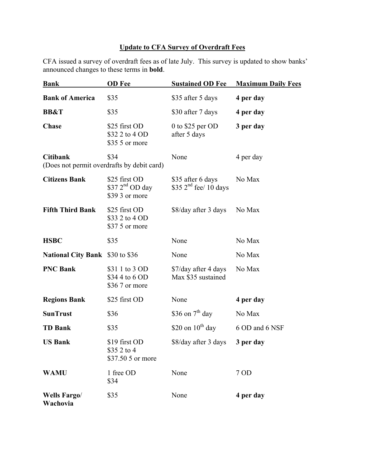## **Update to CFA Survey of Overdraft Fees**

CFA issued a survey of overdraft fees as of late July. This survey is updated to show banks' announced changes to these terms in **bold**.

| <b>Bank</b>                                                   | <b>OD</b> Fee                                                  | <b>Sustained OD Fee</b>                      | <b>Maximum Daily Fees</b> |
|---------------------------------------------------------------|----------------------------------------------------------------|----------------------------------------------|---------------------------|
| <b>Bank of America</b>                                        | \$35                                                           | \$35 after 5 days                            | 4 per day                 |
| <b>BB&amp;T</b>                                               | \$35                                                           | \$30 after 7 days                            | 4 per day                 |
| <b>Chase</b>                                                  | \$25 first OD<br>\$32 2 to 4 OD<br>\$35 5 or more              | 0 to \$25 per $OD$<br>after 5 days           | 3 per day                 |
| <b>Citibank</b><br>(Does not permit overdrafts by debit card) | \$34                                                           | None                                         | 4 per day                 |
| <b>Citizens Bank</b>                                          | \$25 first OD<br>\$37 2 <sup>nd</sup> OD day<br>\$39 3 or more | \$35 after 6 days<br>\$35 $2nd$ fee/ 10 days | No Max                    |
| <b>Fifth Third Bank</b>                                       | \$25 first OD<br>\$33 2 to 4 OD<br>\$37.5 or more              | \$8/day after 3 days                         | No Max                    |
| <b>HSBC</b>                                                   | \$35                                                           | None                                         | No Max                    |
| <b>National City Bank</b> \$30 to \$36                        |                                                                | None                                         | No Max                    |
| <b>PNC Bank</b>                                               | \$31 1 to 3 OD<br>\$34 4 to 6 OD<br>\$36.7 or more             | \$7/day after 4 days<br>Max \$35 sustained   | No Max                    |
| <b>Regions Bank</b>                                           | \$25 first OD                                                  | None                                         | 4 per day                 |
| <b>SunTrust</b>                                               | \$36                                                           | \$36 on $7th$ day                            | No Max                    |
| <b>TD Bank</b>                                                | \$35                                                           | \$20 on $10^{th}$ day                        | 6 OD and 6 NSF            |
| <b>US Bank</b>                                                | \$19 first OD<br>\$35 2 to 4<br>\$37.50 5 or more              | \$8/day after 3 days                         | 3 per day                 |
| <b>WAMU</b>                                                   | 1 free OD<br>\$34                                              | None                                         | 7 OD                      |
| <b>Wells Fargo/</b><br>Wachovia                               | \$35                                                           | None                                         | 4 per day                 |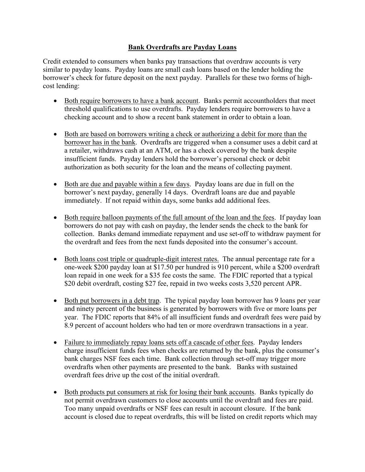## **Bank Overdrafts are Payday Loans**

Credit extended to consumers when banks pay transactions that overdraw accounts is very similar to payday loans. Payday loans are small cash loans based on the lender holding the borrower's check for future deposit on the next payday. Parallels for these two forms of highcost lending:

- Both require borrowers to have a bank account. Banks permit accountholders that meet threshold qualifications to use overdrafts. Payday lenders require borrowers to have a checking account and to show a recent bank statement in order to obtain a loan.
- Both are based on borrowers writing a check or authorizing a debit for more than the borrower has in the bank. Overdrafts are triggered when a consumer uses a debit card at a retailer, withdraws cash at an ATM, or has a check covered by the bank despite insufficient funds. Payday lenders hold the borrower's personal check or debit authorization as both security for the loan and the means of collecting payment.
- Both are due and payable within a few days. Payday loans are due in full on the borrower's next payday, generally 14 days. Overdraft loans are due and payable immediately. If not repaid within days, some banks add additional fees.
- Both require balloon payments of the full amount of the loan and the fees. If payday loan borrowers do not pay with cash on payday, the lender sends the check to the bank for collection. Banks demand immediate repayment and use set-off to withdraw payment for the overdraft and fees from the next funds deposited into the consumer's account.
- Both loans cost triple or quadruple-digit interest rates. The annual percentage rate for a one-week \$200 payday loan at \$17.50 per hundred is 910 percent, while a \$200 overdraft loan repaid in one week for a \$35 fee costs the same. The FDIC reported that a typical \$20 debit overdraft, costing \$27 fee, repaid in two weeks costs 3,520 percent APR.
- Both put borrowers in a debt trap. The typical payday loan borrower has 9 loans per year and ninety percent of the business is generated by borrowers with five or more loans per year. The FDIC reports that 84% of all insufficient funds and overdraft fees were paid by 8.9 percent of account holders who had ten or more overdrawn transactions in a year.
- Failure to immediately repay loans sets off a cascade of other fees. Payday lenders charge insufficient funds fees when checks are returned by the bank, plus the consumer's bank charges NSF fees each time. Bank collection through set-off may trigger more overdrafts when other payments are presented to the bank. Banks with sustained overdraft fees drive up the cost of the initial overdraft.
- Both products put consumers at risk for losing their bank accounts. Banks typically do not permit overdrawn customers to close accounts until the overdraft and fees are paid. Too many unpaid overdrafts or NSF fees can result in account closure. If the bank account is closed due to repeat overdrafts, this will be listed on credit reports which may